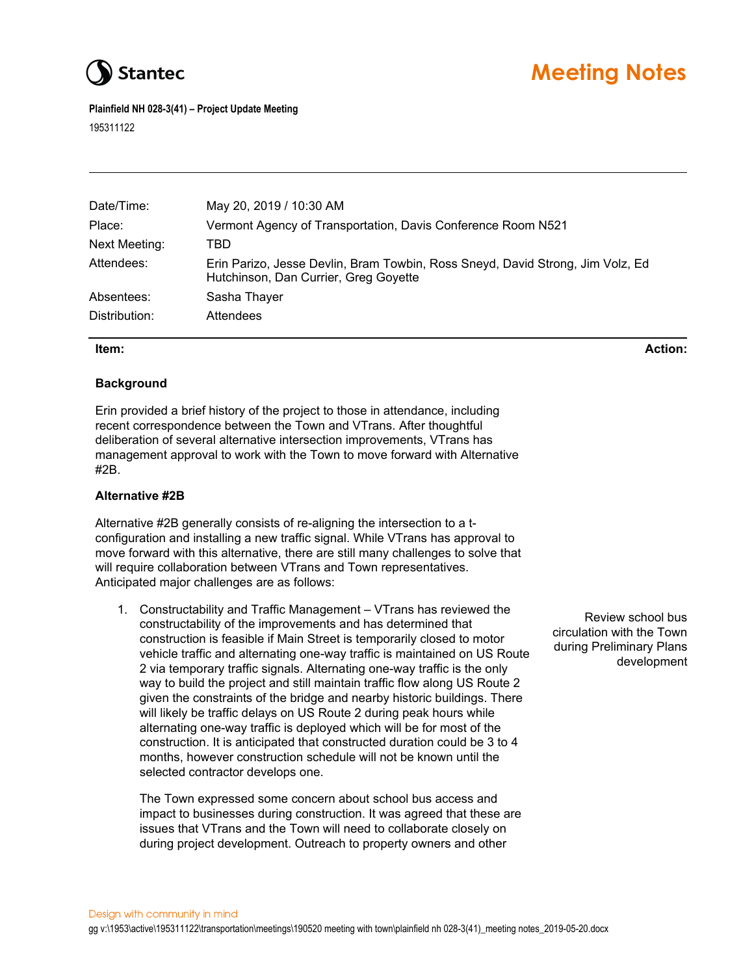

# **Stantec** Meeting Notes

**Plainfield NH 028-3(41) – Project Update Meeting** 

195311122

| Date/Time:    | May 20, 2019 / 10:30 AM                                                                                                  |
|---------------|--------------------------------------------------------------------------------------------------------------------------|
| Place:        | Vermont Agency of Transportation, Davis Conference Room N521                                                             |
| Next Meeting: | TBD                                                                                                                      |
| Attendees:    | Erin Parizo, Jesse Devlin, Bram Towbin, Ross Sneyd, David Strong, Jim Volz, Ed.<br>Hutchinson, Dan Currier, Greg Goyette |
| Absentees:    | Sasha Thayer                                                                                                             |
| Distribution: | Attendees                                                                                                                |

### **Item: Action:**

# **Background**

Erin provided a brief history of the project to those in attendance, including recent correspondence between the Town and VTrans. After thoughtful deliberation of several alternative intersection improvements, VTrans has management approval to work with the Town to move forward with Alternative #2B.

# **Alternative #2B**

Alternative #2B generally consists of re-aligning the intersection to a tconfiguration and installing a new traffic signal. While VTrans has approval to move forward with this alternative, there are still many challenges to solve that will require collaboration between VTrans and Town representatives. Anticipated major challenges are as follows:

1. Constructability and Traffic Management – VTrans has reviewed the constructability of the improvements and has determined that construction is feasible if Main Street is temporarily closed to motor vehicle traffic and alternating one-way traffic is maintained on US Route 2 via temporary traffic signals. Alternating one-way traffic is the only way to build the project and still maintain traffic flow along US Route 2 given the constraints of the bridge and nearby historic buildings. There will likely be traffic delays on US Route 2 during peak hours while alternating one-way traffic is deployed which will be for most of the construction. It is anticipated that constructed duration could be 3 to 4 months, however construction schedule will not be known until the selected contractor develops one.

The Town expressed some concern about school bus access and impact to businesses during construction. It was agreed that these are issues that VTrans and the Town will need to collaborate closely on during project development. Outreach to property owners and other

Review school bus circulation with the Town during Preliminary Plans development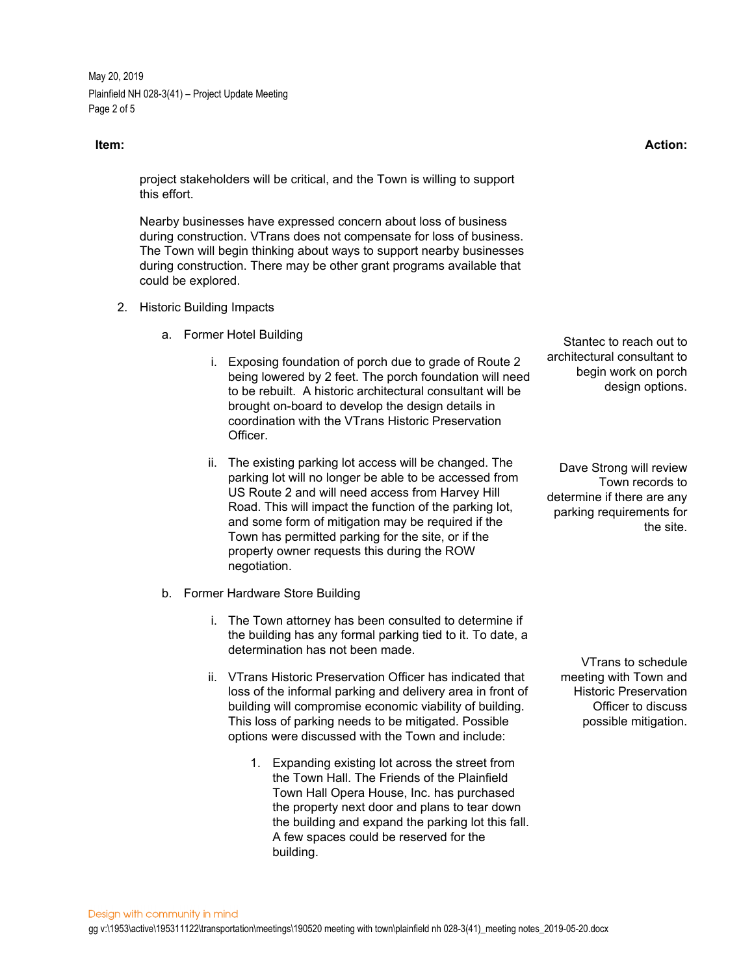May 20, 2019 Plainfield NH 028-3(41) – Project Update Meeting Page 2 of 5

project stakeholders will be critical, and the Town is willing to support this effort.

Nearby businesses have expressed concern about loss of business during construction. VTrans does not compensate for loss of business. The Town will begin thinking about ways to support nearby businesses during construction. There may be other grant programs available that could be explored.

- 2. Historic Building Impacts
	- a. Former Hotel Building
		- i. Exposing foundation of porch due to grade of Route 2 being lowered by 2 feet. The porch foundation will need to be rebuilt. A historic architectural consultant will be brought on-board to develop the design details in coordination with the VTrans Historic Preservation Officer.
		- ii. The existing parking lot access will be changed. The parking lot will no longer be able to be accessed from US Route 2 and will need access from Harvey Hill Road. This will impact the function of the parking lot, and some form of mitigation may be required if the Town has permitted parking for the site, or if the property owner requests this during the ROW negotiation.
	- b. Former Hardware Store Building
		- i. The Town attorney has been consulted to determine if the building has any formal parking tied to it. To date, a determination has not been made.
		- ii. VTrans Historic Preservation Officer has indicated that loss of the informal parking and delivery area in front of building will compromise economic viability of building. This loss of parking needs to be mitigated. Possible options were discussed with the Town and include:
			- 1. Expanding existing lot across the street from the Town Hall. The Friends of the Plainfield Town Hall Opera House, Inc. has purchased the property next door and plans to tear down the building and expand the parking lot this fall. A few spaces could be reserved for the building.

Stantec to reach out to architectural consultant to begin work on porch design options.

Dave Strong will review Town records to determine if there are any parking requirements for the site.

VTrans to schedule meeting with Town and Historic Preservation Officer to discuss possible mitigation.

**Item: Action:**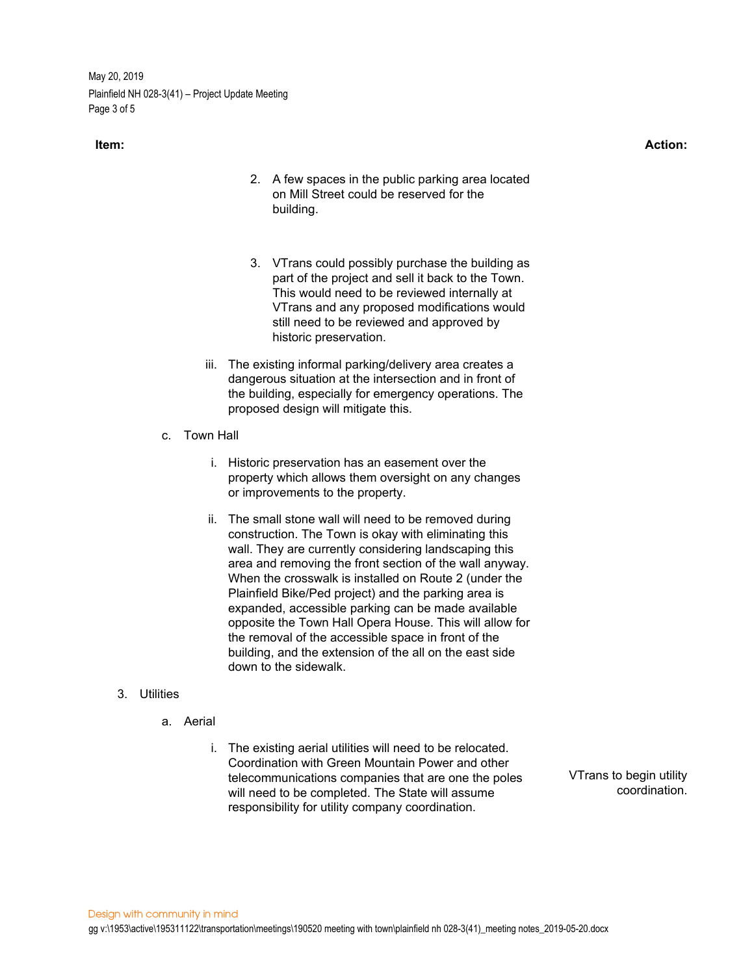May 20, 2019 Plainfield NH 028-3(41) – Project Update Meeting Page 3 of 5

- 2. A few spaces in the public parking area located on Mill Street could be reserved for the building.
- 3. VTrans could possibly purchase the building as part of the project and sell it back to the Town. This would need to be reviewed internally at VTrans and any proposed modifications would still need to be reviewed and approved by historic preservation.
- iii. The existing informal parking/delivery area creates a dangerous situation at the intersection and in front of the building, especially for emergency operations. The proposed design will mitigate this.
- c. Town Hall
	- i. Historic preservation has an easement over the property which allows them oversight on any changes or improvements to the property.
	- ii. The small stone wall will need to be removed during construction. The Town is okay with eliminating this wall. They are currently considering landscaping this area and removing the front section of the wall anyway. When the crosswalk is installed on Route 2 (under the Plainfield Bike/Ped project) and the parking area is expanded, accessible parking can be made available opposite the Town Hall Opera House. This will allow for the removal of the accessible space in front of the building, and the extension of the all on the east side down to the sidewalk.

### 3. Utilities

- a. Aerial
	- i. The existing aerial utilities will need to be relocated. Coordination with Green Mountain Power and other telecommunications companies that are one the poles will need to be completed. The State will assume responsibility for utility company coordination.

VTrans to begin utility coordination.

### **Item: Action:**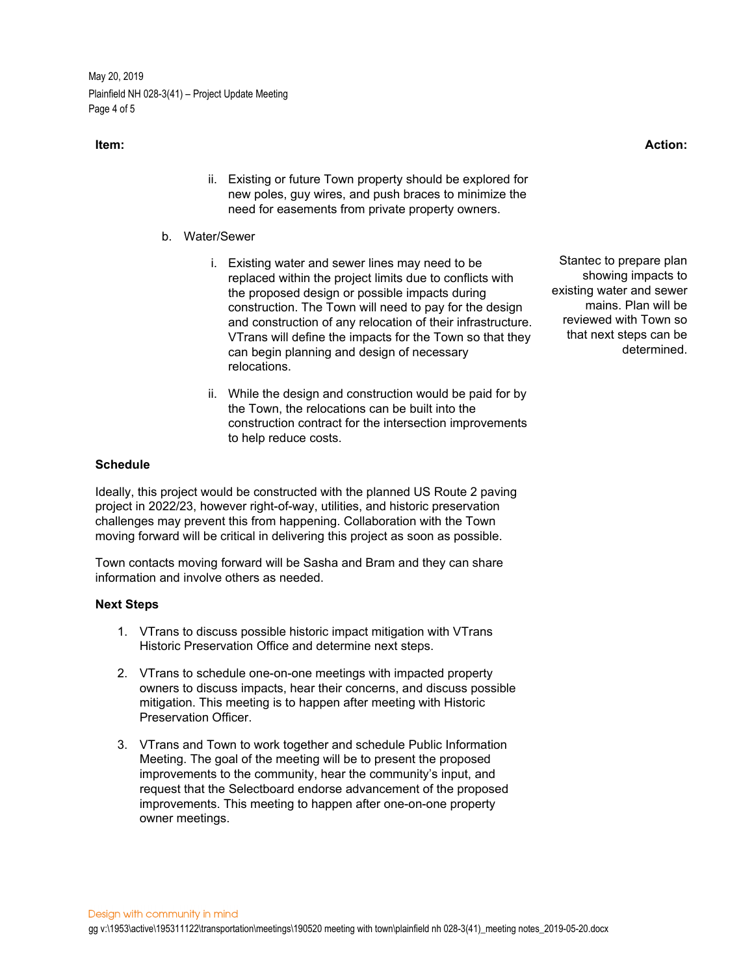May 20, 2019 Plainfield NH 028-3(41) – Project Update Meeting Page 4 of 5

- ii. Existing or future Town property should be explored for new poles, guy wires, and push braces to minimize the need for easements from private property owners.
- b. Water/Sewer
	- i. Existing water and sewer lines may need to be replaced within the project limits due to conflicts with the proposed design or possible impacts during construction. The Town will need to pay for the design and construction of any relocation of their infrastructure. VTrans will define the impacts for the Town so that they can begin planning and design of necessary relocations.
	- ii. While the design and construction would be paid for by the Town, the relocations can be built into the construction contract for the intersection improvements to help reduce costs.

#### **Schedule**

Ideally, this project would be constructed with the planned US Route 2 paving project in 2022/23, however right-of-way, utilities, and historic preservation challenges may prevent this from happening. Collaboration with the Town moving forward will be critical in delivering this project as soon as possible.

Town contacts moving forward will be Sasha and Bram and they can share information and involve others as needed.

#### **Next Steps**

- 1. VTrans to discuss possible historic impact mitigation with VTrans Historic Preservation Office and determine next steps.
- 2. VTrans to schedule one-on-one meetings with impacted property owners to discuss impacts, hear their concerns, and discuss possible mitigation. This meeting is to happen after meeting with Historic Preservation Officer.
- 3. VTrans and Town to work together and schedule Public Information Meeting. The goal of the meeting will be to present the proposed improvements to the community, hear the community's input, and request that the Selectboard endorse advancement of the proposed improvements. This meeting to happen after one-on-one property owner meetings.

Stantec to prepare plan showing impacts to existing water and sewer mains. Plan will be reviewed with Town so that next steps can be determined.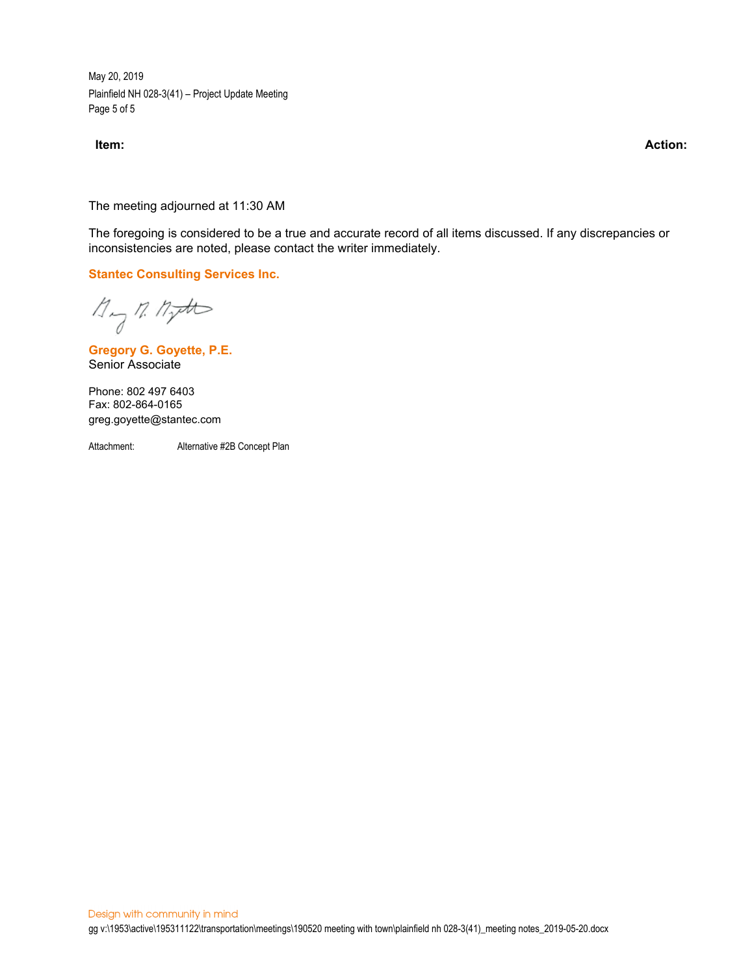May 20, 2019 Plainfield NH 028-3(41) – Project Update Meeting Page 5 of 5

**Item: Action:** 

The meeting adjourned at 11:30 AM

The foregoing is considered to be a true and accurate record of all items discussed. If any discrepancies or inconsistencies are noted, please contact the writer immediately.

**Stantec Consulting Services Inc.**

 $\n *M*  $\rightarrow$  *M*  $\rightarrow$  *M*$ 

**Gregory G. Goyette, P.E.** Senior Associate

Phone: 802 497 6403 Fax: 802-864-0165 greg.goyette@stantec.com

Attachment: Alternative #2B Concept Plan